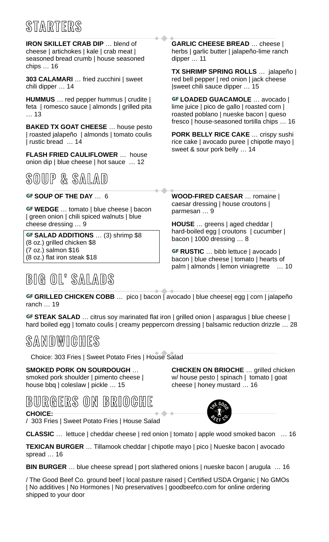# **S TARTERS**

**IRON SKILLET CRAB DIP** … blend of cheese | artichokes | kale | crab meat | seasoned bread crumb | house seasoned chips … 16

**303 CALAMARI** … fried zucchini | sweet chili dipper … 14

**HUMMUS** … red pepper hummus | crudite | feta | romesco sauce | almonds | grilled pita … 13

**BAKED TX GOAT CHEESE** … house pesto | roasted jalapeño | almonds | tomato coulis | rustic bread … 14

**FLASH FRIED CAULIFLOWER** … house onion dip | blue cheese | hot sauce … 12

**SOUP & SALAD**

| green onion | chili spiced walnuts | blue cheese dressing … 9 **HOUSE** … greens | aged cheddar |

**GF SALAD ADDITIONS** … (3) shrimp \$8 bacon | 1000 dressing … 8 (8 oz.) grilled chicken \$8 (7 oz.) salmon \$16 (8 oz.) flat iron steak \$18

## **BIG OL' SALADS**

**GARLIC CHEESE BREAD** … cheese | herbs | garlic butter | jalapeño-lime ranch dipper … 11

**TX SHRIMP SPRING ROLLS** … jalapeño | red bell pepper | red onion | jack cheese |sweet chili sauce dipper … 15

…**LOADED GUACAMOLE** … avocado | lime juice | pico de gallo | roasted corn | roasted poblano | nueske bacon | queso fresco | house-seasoned tortilla chips … 16

**PORK BELLY RICE CAKE** … crispy sushi rice cake | avocado puree | chipotle mayo | sweet & sour pork belly … 14

GF SOUP OF THE DAY ... 6 **WOOD-FIRED CAESAR** ... romaine | **GF WEDGE** ... tomato | blue cheese | bacon exact dressing | house croutons |

hard-boiled egg | croutons | cucumber |

GF RUSTIC ... bibb lettuce | avocado | bacon | blue cheese | tomato | hearts of palm | almonds | lemon viniagrette … 10

GF GRILLED CHICKEN COBB ... pico | bacon | avocado | blue cheese| egg | corn | jalapeño ranch … 19

GF STEAK SALAD ... citrus soy marinated flat iron | grilled onion | asparagus | blue cheese | hard boiled egg | tomato coulis | creamy peppercorn dressing | balsamic reduction drizzle ... 28

### **SANDWICHES**

Choice: 303 Fries | Sweet Potato Fries | House Salad

#### **SMOKED PORK ON SOURDOUGH** …

smoked pork shoulder | pimento cheese | house bbq | coleslaw | pickle … 15

**CHICKEN ON BRIOCHE** … grilled chicken w/ house pesto | spinach | tomato | goat cheese | honey mustard … 16



#### **CHOICE:**

/ 303 Fries | Sweet Potato Fries | House Salad

**CLASSIC** … lettuce | cheddar cheese | red onion | tomato | apple wood smoked bacon … 16

**TEXICAN BURGER** … Tillamook cheddar | chipotle mayo | pico | Nueske bacon | avocado spread … 16

**BIN BURGER** ... blue cheese spread | port slathered onions | nueske bacon | arugula ... 16

/ The Good Beef Co. ground beef | local pasture raised | Certified USDA Organic | No GMOs | No additives | No Hormones | No preservatives | goodbeefco.com for online ordering shipped to your door